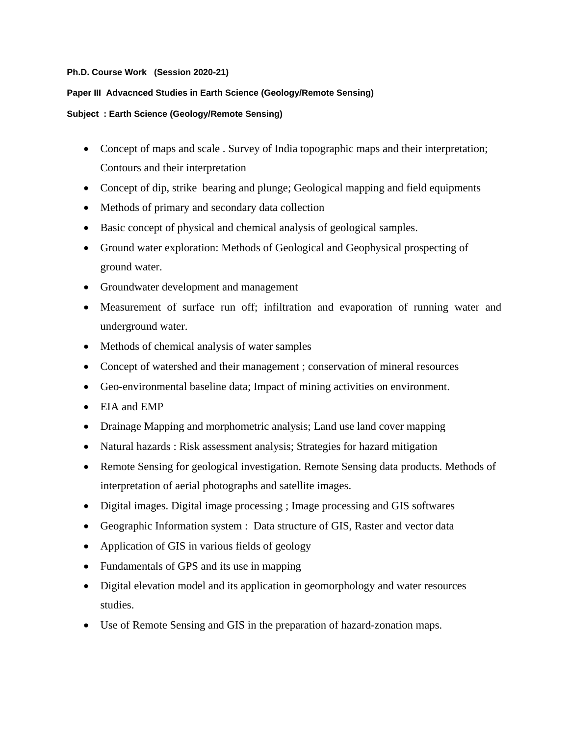## **Ph.D. Course Work (Session 2020-21)**

## **Paper III Advacnced Studies in Earth Science (Geology/Remote Sensing)**

## **Subject : Earth Science (Geology/Remote Sensing)**

- Concept of maps and scale . Survey of India topographic maps and their interpretation; Contours and their interpretation
- Concept of dip, strike bearing and plunge; Geological mapping and field equipments
- Methods of primary and secondary data collection
- Basic concept of physical and chemical analysis of geological samples.
- Ground water exploration: Methods of Geological and Geophysical prospecting of ground water.
- Groundwater development and management
- Measurement of surface run off; infiltration and evaporation of running water and underground water.
- Methods of chemical analysis of water samples
- Concept of watershed and their management ; conservation of mineral resources
- Geo-environmental baseline data; Impact of mining activities on environment.
- EIA and EMP
- Drainage Mapping and morphometric analysis; Land use land cover mapping
- Natural hazards : Risk assessment analysis; Strategies for hazard mitigation
- Remote Sensing for geological investigation. Remote Sensing data products. Methods of interpretation of aerial photographs and satellite images.
- Digital images. Digital image processing ; Image processing and GIS softwares
- Geographic Information system : Data structure of GIS, Raster and vector data
- Application of GIS in various fields of geology
- Fundamentals of GPS and its use in mapping
- Digital elevation model and its application in geomorphology and water resources studies.
- Use of Remote Sensing and GIS in the preparation of hazard-zonation maps.